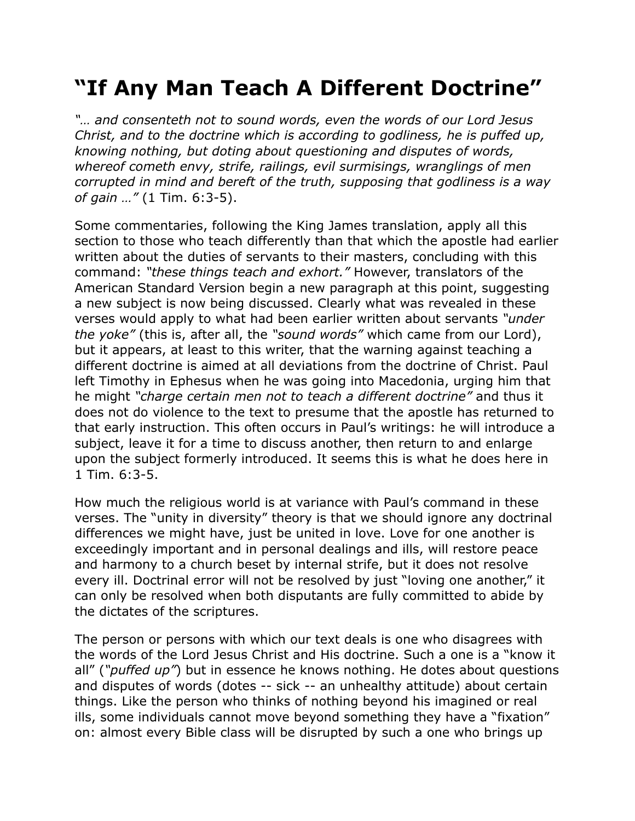## **"If Any Man Teach A Different Doctrine"**

*"… and consenteth not to sound words, even the words of our Lord Jesus Christ, and to the doctrine which is according to godliness, he is puffed up, knowing nothing, but doting about questioning and disputes of words, whereof cometh envy, strife, railings, evil surmisings, wranglings of men corrupted in mind and bereft of the truth, supposing that godliness is a way of gain …"* (1 Tim. 6:3-5).

Some commentaries, following the King James translation, apply all this section to those who teach differently than that which the apostle had earlier written about the duties of servants to their masters, concluding with this command: *"these things teach and exhort."* However, translators of the American Standard Version begin a new paragraph at this point, suggesting a new subject is now being discussed. Clearly what was revealed in these verses would apply to what had been earlier written about servants *"under the yoke"* (this is, after all, the *"sound words"* which came from our Lord), but it appears, at least to this writer, that the warning against teaching a different doctrine is aimed at all deviations from the doctrine of Christ. Paul left Timothy in Ephesus when he was going into Macedonia, urging him that he might *"charge certain men not to teach a different doctrine"* and thus it does not do violence to the text to presume that the apostle has returned to that early instruction. This often occurs in Paul's writings: he will introduce a subject, leave it for a time to discuss another, then return to and enlarge upon the subject formerly introduced. It seems this is what he does here in 1 Tim. 6:3-5.

How much the religious world is at variance with Paul's command in these verses. The "unity in diversity" theory is that we should ignore any doctrinal differences we might have, just be united in love. Love for one another is exceedingly important and in personal dealings and ills, will restore peace and harmony to a church beset by internal strife, but it does not resolve every ill. Doctrinal error will not be resolved by just "loving one another," it can only be resolved when both disputants are fully committed to abide by the dictates of the scriptures.

The person or persons with which our text deals is one who disagrees with the words of the Lord Jesus Christ and His doctrine. Such a one is a "know it all" (*"puffed up"*) but in essence he knows nothing. He dotes about questions and disputes of words (dotes -- sick -- an unhealthy attitude) about certain things. Like the person who thinks of nothing beyond his imagined or real ills, some individuals cannot move beyond something they have a "fixation" on: almost every Bible class will be disrupted by such a one who brings up